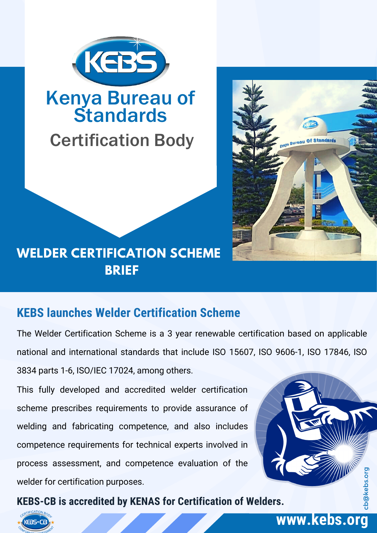

## Kenya Bureau of **Standards**

# Certification Body



## **WELDER CERTIFICATION SCHEME BRIEF**

#### **KEBS launches Welder Certification Scheme**

The Welder Certification Scheme is a 3 year renewable certification based on applicable national and international standards that include ISO 15607, ISO 9606-1, ISO 17846, ISO 3834 parts 1-6, ISO/IEC 17024, among others.

This fully developed and accredited welder certification scheme prescribes requirements to provide assurance of welding and fabricating competence, and also includes competence requirements for technical experts involved in process assessment, and competence evaluation of the welder for certification purposes.

**KEBS-CB is accredited by KENAS for Certification of Welders.**



#### **www.kebs.org**

cb@kebs.org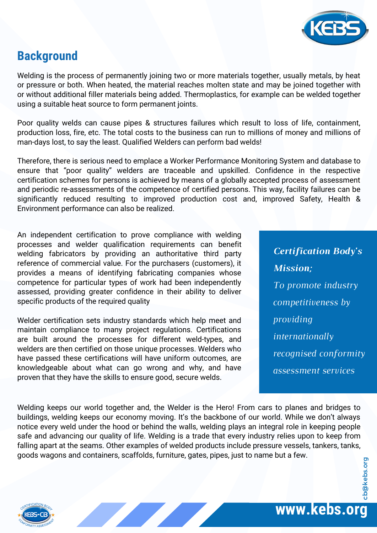

#### **Background**

Welding is the process of permanently joining two or more materials together, usually metals, by heat or pressure or both. When heated, the material reaches molten state and may be joined together with or without additional filler materials being added. Thermoplastics, for example can be welded together using a suitable heat source to form permanent joints.

Poor quality welds can cause pipes & structures failures which result to loss of life, containment, production loss, fire, etc. The total costs to the business can run to millions of money and millions of man-days lost, to say the least. Qualified Welders can perform bad welds!

Therefore, there is serious need to emplace a Worker Performance Monitoring System and database to ensure that "poor quality" welders are traceable and upskilled. Confidence in the respective certification schemes for persons is achieved by means of a globally accepted process of assessment and periodic re-assessments of the competence of certified persons. This way, facility failures can be significantly reduced resulting to improved production cost and, improved Safety, Health & Environment performance can also be realized.

An independent certification to prove compliance with welding processes and welder qualification requirements can benefit welding fabricators by providing an authoritative third party reference of commercial value. For the purchasers (customers), it provides a means of identifying fabricating companies whose competence for particular types of work had been independently assessed, providing greater confidence in their ability to deliver specific products of the required quality

Welder certification sets industry standards which help meet and maintain compliance to many project regulations. Certifications are built around the processes for different weld-types, and welders are then certified on those unique processes. Welders who have passed these certifications will have uniform outcomes, are knowledgeable about what can go wrong and why, and have proven that they have the skills to ensure good, secure welds.

*Certification Body's Mission; To promote industry competitiveness by providing internationally recognised conformity assessment services*

Welding keeps our world together and, the Welder is the Hero! From cars to planes and bridges to buildings, welding keeps our economy moving. It's the backbone of our world. While we don't always notice every weld under the hood or behind the walls, welding plays an integral role in keeping people safe and advancing our quality of life. Welding is a trade that every industry relies upon to keep from falling apart at the seams. Other examples of welded products include pressure vessels, tankers, tanks, goods wagons and containers, scaffolds, furniture, gates, pipes, just to name but a few. cb@kebs.org